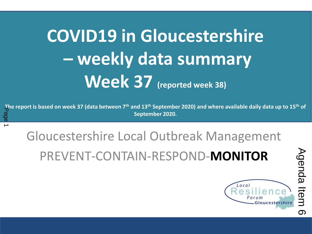# **COVID19 in Gloucestershire – weekly data summary Week 37 (reported week 38)**

**The report is based on week 37 (data between 7th and 13th September 2020) and where available daily data up to 15th of September 2020.**<br>
September 2020.<br>
Page 1992.

Gloucestershire Local Outbreak Management PREVENT-CONTAIN-RESPOND-**MONITOR** The report is based on week 27 (data between 29 July 2020) and where available data up to  $C$ 

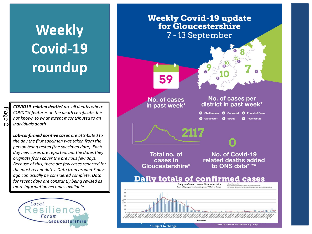# **Weekly Covid-19 roundup**

*COVID19 related deaths' are all deaths where COVDI19 features on the death certificate. It is not known to what extent it contributed to an individuals death*

*Lab-confirmed positive cases are attributed to the day the first specimen was taken from the person being tested (the specimen date). Each day new cases are reported, but the dates they originate from cover the previous few days. Because of this, there are few cases reported for the most recent dates. Data from around 5 days ago can usually be considered complete. Data for recent days are constantly being revised as more information becomes available.*





Page 2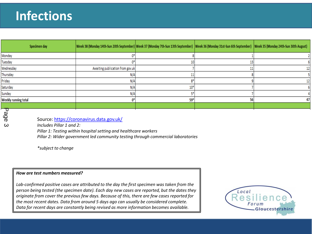### **Infections**

| Specimen day                              | Week 38 (Monday 14th-Sun 20th September) Week 37 (Monday 7th-Sun 13th September) Week 36 (Monday 31st-Sun 6th September) Week 35 (Monday 24th-Sun 30th August) |       |    |    |
|-------------------------------------------|----------------------------------------------------------------------------------------------------------------------------------------------------------------|-------|----|----|
| Monday                                    |                                                                                                                                                                |       |    |    |
| Tuesday                                   |                                                                                                                                                                |       |    |    |
| Wednesday                                 | Awaiting publication from gov.uk                                                                                                                               |       |    | 12 |
| Thursday                                  | N/A                                                                                                                                                            |       |    |    |
| Friday                                    | N/A                                                                                                                                                            | 8*    |    | 12 |
| Saturday                                  | N/A                                                                                                                                                            | 10*   |    |    |
| Sunday                                    | N/A                                                                                                                                                            |       |    |    |
| Weekly running total                      |                                                                                                                                                                | $59*$ | 56 | 47 |
|                                           |                                                                                                                                                                |       |    |    |
| Page<br>Includes Pillar 1 and $2^r$<br>دى | Source: https://coronavirus.data.gov.uk/                                                                                                                       |       |    |    |

*Includes Pillar 1 and 2:*

*Pillar 1: Testing within hospital setting and healthcare workers*

*Pillar 2: Wider government led community testing through commercial laboratories*

*\*subject to change*

#### *How are test numbers measured?*

*Lab-confirmed positive cases are attributed to the day the first specimen was taken from the person being tested (the specimen date). Each day new cases are reported, but the dates they originate from cover the previous few days. Because of this, there are few cases reported for the most recent dates. Data from around 5 days ago can usually be considered complete. Data for recent days are constantly being revised as more information becomes available.*

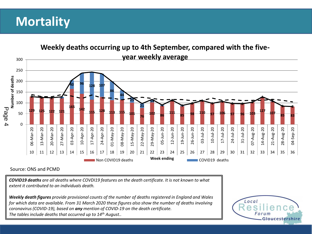#### **Mortality**



#### Source: ONS and PCMD

*COVID19 deaths are all deaths where COVDI19 features on the death certificate. It is not known to what extent it contributed to an individuals death.*

*Weekly death figures provide provisional counts of the number of deaths registered in England and Wales for which data are available. From 31 March 2020 these figures also show the number of deaths involving coronavirus (COVID-19), based on any mention of COVID-19 on the death certificate. The tables include deaths that occurred up to 14th August..* 

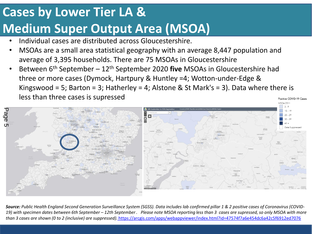## **Cases by Lower Tier LA & Medium Super Output Area (MSOA)**

- Individual cases are distributed across Gloucestershire.
- MSOAs are a small area statistical geography with an average 8,447 population and average of 3,395 households. There are 75 MSOAs in Gloucestershire
- Between 6th September 12th September 2020 **five** MSOAs in Gloucestershire had three or more cases (Dymock, Hartpury & Huntley =4; Wotton-under-Edge & Kingswood = 5; Barton = 3; Hatherley = 4; Alstone & St Mark's = 3). Data where there is less than three cases is supressed Positive COVID-19 Cases



*Source: Public Health England Second Generation Surveillance System (SGSS). Data includes lab confirmed pillar 1 & 2 positive cases of Coronavirus (COVID-19) with specimen dates between 6th September – 12th September . Please note MSOA reporting less than 3 cases are supressed, so only MSOA with more than 3 cases are shown (0 to 2 (inclusive) are suppressed)[.](https://arcgis.com/apps/webappviewer/index.html?id=47574f7a6e454dc6a42c5f6912ed7076)* <https://arcgis.com/apps/webappviewer/index.html?id=47574f7a6e454dc6a42c5f6912ed7076>